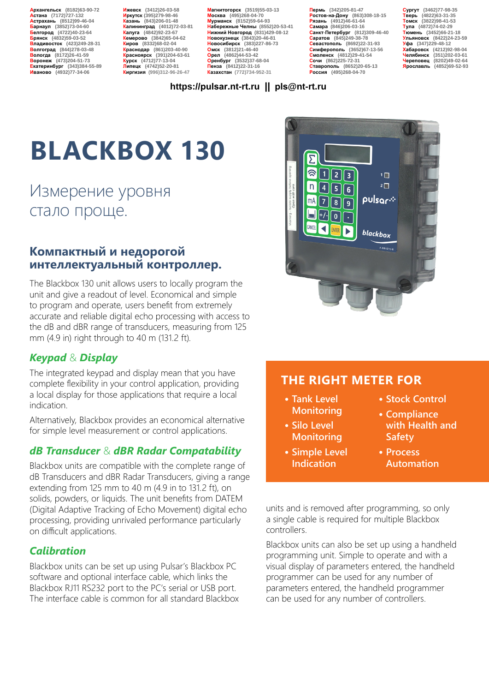**Архангельск (8182)63-90-72 Астана (7172)727-132 Астрахань (8512)99-46-04 Барнаул (3852)73-04-60 Белгород (4722)40-23-64 Брянск (4832)59-03-52 Владивосток (423)249-28-31 Волгоград (844)278-03-48 Вологда (8172)26-41-59 Воронеж (473)204-51-73 Екатеринбург (343)384-55-89 Иваново (4932)77-34-06**

**Ижевск (3412)26-03-58 Иркутск (395)279-98-46 Казань (843)206-01-48 Калининград (4012)72-03-81 Калуга (4842)92-23-67 Кемерово (3842)65-04-62 Киров (8332)68-02-04 Краснодар (861)203-40-90 Красноярск (391)204-63-61 Курск (4712)77-13-04 Липецк (4742)52-20-81 Киргизия (996)312-96-26-47**

**Магнитогорск (3519)55-03-13 Москва (495)268-04-70 Мурманск (8152)59-64-93 Набережные Челны (8552)20-53-41 Нижний Новгород (831)429-08-12 Новокузнецк (3843)20-46-81 Новосибирск (383)227-86-73 Омск (3812)21-46-40 Орел (4862)44-53-42 Оренбург (3532)37-68-04 Пенза (8412)22-31-16 Казахстан (772)734-952-31**

**Пермь (342)205-81-47 Ростов-на-Дону (863)308-18-15 Рязань (4912)46-61-64 Самара (846)206-03-16 Санкт-Петербург (812)309-46-40 Саратов (845)249-38-78 Севастополь (8692)22-31-93 Симферополь (3652)67-13-56 Смоленск (4812)29-41-54 Сочи (862)225-72-31 Ставрополь (8652)20-65-13 Россия (495)268-04-70**

**Сургут (3462)77-98-35 Тверь (4822)63-31-35 Томск (3822)98-41-53 Тула (4872)74-02-29 Тюмень (3452)66-21-18 Ульяновск (8422)24-23-59 Уфа (347)229-48-12 Хабаровск (4212)92-98-04 Челябинск (351)202-03-61 Череповец (8202)49-02-64 Ярославль (4852)69-52-93** 

### **https://pulsar.nt-rt.ru || pls@nt-rt.ru**

# **BLACKBOX 130**

# Измерение уровня стало проще.

# **Компактный и недорогой интеллектуальный контроллер.**

The Blackbox 130 unit allows users to locally program the unit and give a readout of level. Economical and simple to program and operate, users benefit from extremely accurate and reliable digital echo processing with access to the dB and dBR range of transducers, measuring from 125 mm (4.9 in) right through to 40 m (131.2 ft).

# *Keypad* & *Display*

The integrated keypad and display mean that you have complete flexibility in your control application, providing a local display for those applications that require a local indication.

Alternatively, Blackbox provides an economical alternative for simple level measurement or control applications.

# *dB Transducer* & *dBR Radar Compatability*

Blackbox units are compatible with the complete range of dB Transducers and dBR Radar Transducers, giving a range extending from 125 mm to 40 m (4.9 in to 131.2 ft), on solids, powders, or liquids. The unit benefits from DATEM (Digital Adaptive Tracking of Echo Movement) digital echo processing, providing unrivaled performance particularly on difficult applications.

# *Calibration*

Blackbox units can be set up using Pulsar's Blackbox PC software and optional interface cable, which links the Blackbox RJ11 RS232 port to the PC's serial or USB port. The interface cable is common for all standard Blackbox



# **THE RIGHT METER FOR**

- **• Tank Level Monitoring**
- **• Silo Level Monitoring**
- **• Simple Level Indication**
- **• Stock Control**
- **• Compliance with Health and Safety**
- **• Process Automation**

units and is removed after programming, so only a single cable is required for multiple Blackbox controllers.

Blackbox units can also be set up using a handheld programming unit. Simple to operate and with a visual display of parameters entered, the handheld programmer can be used for any number of parameters entered, the handheld programmer can be used for any number of controllers.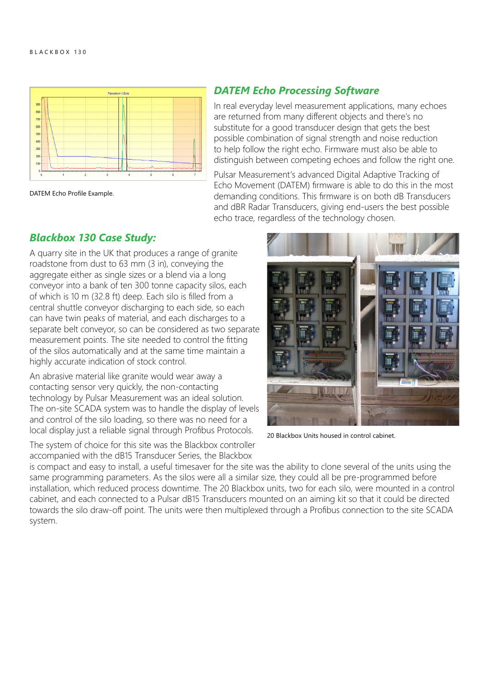

DATEM Echo Profile Example.

### *DATEM Echo Processing Software*

In real everyday level measurement applications, many echoes are returned from many different objects and there's no substitute for a good transducer design that gets the best possible combination of signal strength and noise reduction to help follow the right echo. Firmware must also be able to distinguish between competing echoes and follow the right one.

Pulsar Measurement's advanced Digital Adaptive Tracking of Echo Movement (DATEM) firmware is able to do this in the most demanding conditions. This firmware is on both dB Transducers and dBR Radar Transducers, giving end-users the best possible echo trace, regardless of the technology chosen.

## *Blackbox 130 Case Study:*

A quarry site in the UK that produces a range of granite roadstone from dust to 63 mm (3 in), conveying the aggregate either as single sizes or a blend via a long conveyor into a bank of ten 300 tonne capacity silos, each of which is 10 m (32.8 ft) deep. Each silo is filled from a central shuttle conveyor discharging to each side, so each can have twin peaks of material, and each discharges to a separate belt conveyor, so can be considered as two separate measurement points. The site needed to control the fitting of the silos automatically and at the same time maintain a highly accurate indication of stock control.

An abrasive material like granite would wear away a contacting sensor very quickly, the non-contacting technology by Pulsar Measurement was an ideal solution. The on-site SCADA system was to handle the display of levels and control of the silo loading, so there was no need for a local display just a reliable signal through Profibus Protocols.

The system of choice for this site was the Blackbox controller accompanied with the dB15 Transducer Series, the Blackbox



20 Blackbox Units housed in control cabinet.

is compact and easy to install, a useful timesaver for the site was the ability to clone several of the units using the same programming parameters. As the silos were all a similar size, they could all be pre-programmed before installation, which reduced process downtime. The 20 Blackbox units, two for each silo, were mounted in a control cabinet, and each connected to a Pulsar dB15 Transducers mounted on an aiming kit so that it could be directed towards the silo draw-off point. The units were then multiplexed through a Profibus connection to the site SCADA system.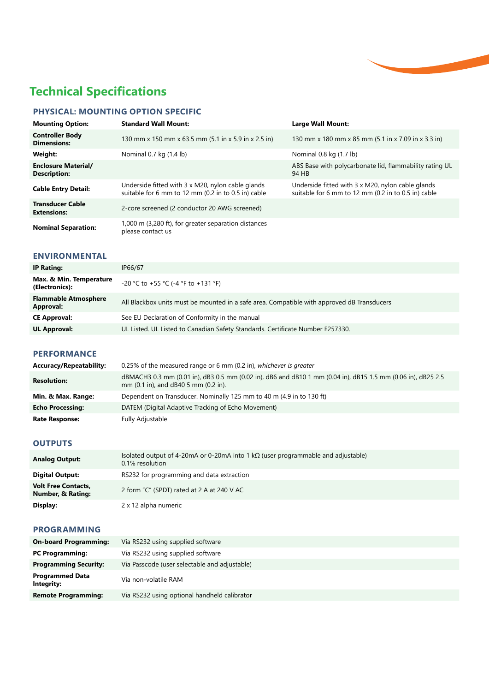# **Technical Specifications**

# **PHYSICAL: MOUNTING OPTION SPECIFIC**

| <b>Mounting Option:</b>                           | <b>Standard Wall Mount:</b>                                                                              | Large Wall Mount:                                                                                        |
|---------------------------------------------------|----------------------------------------------------------------------------------------------------------|----------------------------------------------------------------------------------------------------------|
| <b>Controller Body</b><br><b>Dimensions:</b>      | 130 mm x 150 mm x 63.5 mm (5.1 in x 5.9 in x 2.5 in)                                                     | 130 mm x 180 mm x 85 mm (5.1 in x 7.09 in x 3.3 in)                                                      |
| Weight:                                           | Nominal 0.7 kg (1.4 lb)                                                                                  | Nominal 0.8 kg (1.7 lb)                                                                                  |
| <b>Enclosure Material/</b><br><b>Description:</b> |                                                                                                          | ABS Base with polycarbonate lid, flammability rating UL<br>94 HB                                         |
| <b>Cable Entry Detail:</b>                        | Underside fitted with 3 x M20, nylon cable glands<br>suitable for 6 mm to 12 mm (0.2 in to 0.5 in) cable | Underside fitted with 3 x M20, nylon cable glands<br>suitable for 6 mm to 12 mm (0.2 in to 0.5 in) cable |
| <b>Transducer Cable</b><br><b>Extensions:</b>     | 2-core screened (2 conductor 20 AWG screened)                                                            |                                                                                                          |
| <b>Nominal Separation:</b>                        | 1,000 m (3,280 ft), for greater separation distances<br>please contact us                                |                                                                                                          |

### **ENVIRONMENTAL**

| IP Rating:                                      | IP66/67                                                                                    |
|-------------------------------------------------|--------------------------------------------------------------------------------------------|
| Max. & Min. Temperature<br>(Electronics):       | -20 °C to +55 °C (-4 °F to +131 °F)                                                        |
| <b>Flammable Atmosphere</b><br><b>Approval:</b> | All Blackbox units must be mounted in a safe area. Compatible with approved dB Transducers |
| <b>CE Approval:</b>                             | See EU Declaration of Conformity in the manual                                             |
| <b>UL Approval:</b>                             | UL Listed. UL Listed to Canadian Safety Standards. Certificate Number E257330.             |

### **PERFORMANCE**

| <b>Accuracy/Repeatability:</b> | 0.25% of the measured range or 6 mm (0.2 in), whichever is greater                                                                                   |
|--------------------------------|------------------------------------------------------------------------------------------------------------------------------------------------------|
| <b>Resolution:</b>             | dBMACH3 0.3 mm (0.01 in), dB3 0.5 mm (0.02 in), dB6 and dB10 1 mm (0.04 in), dB15 1.5 mm (0.06 in), dB25 2.5<br>mm (0.1 in), and dB40 5 mm (0.2 in). |
| Min. & Max. Range:             | Dependent on Transducer. Nominally 125 mm to 40 m (4.9 in to 130 ft)                                                                                 |
| <b>Echo Processing:</b>        | DATEM (Digital Adaptive Tracking of Echo Movement)                                                                                                   |
| <b>Rate Response:</b>          | Fully Adjustable                                                                                                                                     |

### **OUTPUTS**

| <b>Analog Output:</b>                                      | Isolated output of 4-20mA or 0-20mA into 1 k $\Omega$ (user programmable and adjustable)<br>0.1% resolution |
|------------------------------------------------------------|-------------------------------------------------------------------------------------------------------------|
| <b>Digital Output:</b>                                     | RS232 for programming and data extraction                                                                   |
| <b>Volt Free Contacts,</b><br><b>Number, &amp; Rating:</b> | 2 form "C" (SPDT) rated at 2 A at 240 V AC                                                                  |
| Display:                                                   | 2 x 12 alpha numeric                                                                                        |

### **PROGRAMMING**

| Via RS232 using supplied software             |
|-----------------------------------------------|
| Via RS232 using supplied software             |
| Via Passcode (user selectable and adjustable) |
| Via non-volatile RAM                          |
| Via RS232 using optional handheld calibrator  |
|                                               |